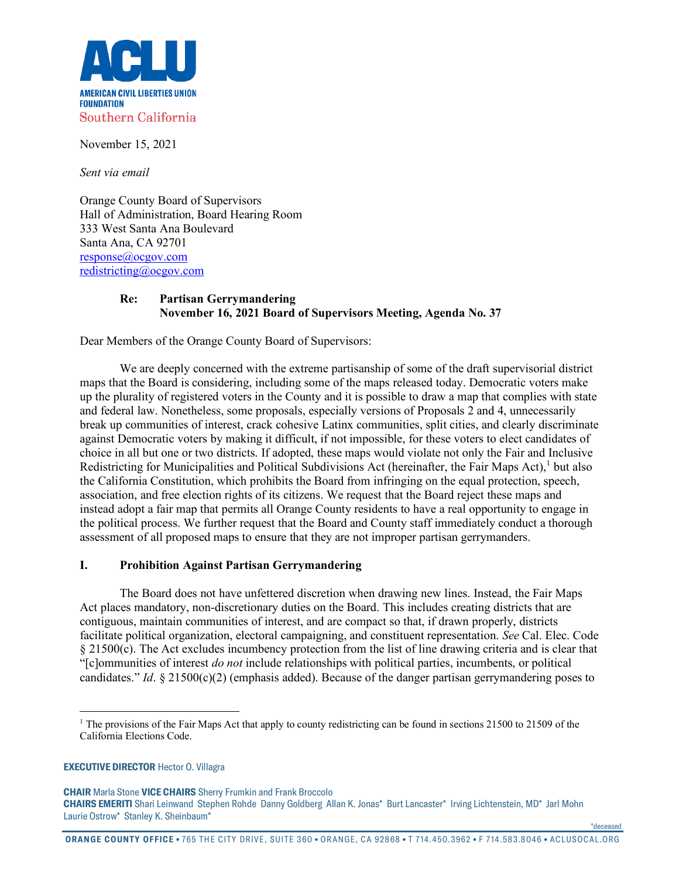

November 15, 2021

*Sent via email*

Orange County Board of Supervisors Hall of Administration, Board Hearing Room 333 West Santa Ana Boulevard Santa Ana, CA 92701 [response@ocgov.com](mailto:response@ocgov.com) [redistricting@ocgov.com](mailto:redistricting@ocgov.com)

## **Re: Partisan Gerrymandering November 16, 2021 Board of Supervisors Meeting, Agenda No. 37**

Dear Members of the Orange County Board of Supervisors:

We are deeply concerned with the extreme partisanship of some of the draft supervisorial district maps that the Board is considering, including some of the maps released today. Democratic voters make up the plurality of registered voters in the County and it is possible to draw a map that complies with state and federal law. Nonetheless, some proposals, especially versions of Proposals 2 and 4, unnecessarily break up communities of interest, crack cohesive Latinx communities, split cities, and clearly discriminate against Democratic voters by making it difficult, if not impossible, for these voters to elect candidates of choice in all but one or two districts. If adopted, these maps would violate not only the Fair and Inclusive Redistricting for Municipalities and Political Subdivisions Act (hereinafter, the Fair Maps Act), $1$  but also the California Constitution, which prohibits the Board from infringing on the equal protection, speech, association, and free election rights of its citizens. We request that the Board reject these maps and instead adopt a fair map that permits all Orange County residents to have a real opportunity to engage in the political process. We further request that the Board and County staff immediately conduct a thorough assessment of all proposed maps to ensure that they are not improper partisan gerrymanders.

## **I. Prohibition Against Partisan Gerrymandering**

The Board does not have unfettered discretion when drawing new lines. Instead, the Fair Maps Act places mandatory, non-discretionary duties on the Board. This includes creating districts that are contiguous, maintain communities of interest, and are compact so that, if drawn properly, districts facilitate political organization, electoral campaigning, and constituent representation. *See* Cal. Elec. Code § 21500(c). The Act excludes incumbency protection from the list of line drawing criteria and is clear that "[c]ommunities of interest *do not* include relationships with political parties, incumbents, or political candidates." *Id*. § 21500(c)(2) (emphasis added). Because of the danger partisan gerrymandering poses to

## <span id="page-0-0"></span>**EXECUTIVE DIRECTOR** Hector O. Villagra

**CHAIR** Marla Stone **VICE CHAIRS** Sherry Frumkin and Frank Broccolo **CHAIRS EMERITI** Shari Leinwand Stephen Rohde Danny Goldberg Allan K. Jonas\* Burt Lancaster\* Irving Lichtenstein, MD\* Jarl Mohn Laurie Ostrow\* Stanley K. Sheinbaum\*

\*deceased

<sup>&</sup>lt;sup>1</sup> The provisions of the Fair Maps Act that apply to county redistricting can be found in sections 21500 to 21509 of the California Elections Code.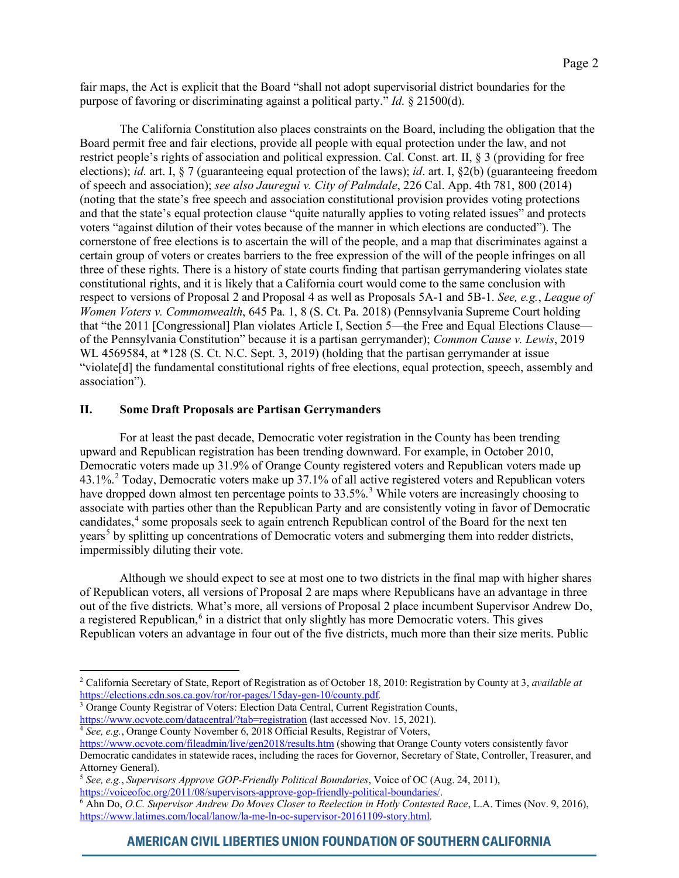fair maps, the Act is explicit that the Board "shall not adopt supervisorial district boundaries for the purpose of favoring or discriminating against a political party." *Id*. § 21500(d).

The California Constitution also places constraints on the Board, including the obligation that the Board permit free and fair elections, provide all people with equal protection under the law, and not restrict people's rights of association and political expression. Cal. Const. art. II, § 3 (providing for free elections); *id*. art. I, § 7 (guaranteeing equal protection of the laws); *id*. art. I, §2(b) (guaranteeing freedom of speech and association); *see also Jauregui v. City of Palmdale*, 226 Cal. App. 4th 781, 800 (2014) (noting that the state's free speech and association constitutional provision provides voting protections and that the state's equal protection clause "quite naturally applies to voting related issues" and protects voters "against dilution of their votes because of the manner in which elections are conducted"). The cornerstone of free elections is to ascertain the will of the people, and a map that discriminates against a certain group of voters or creates barriers to the free expression of the will of the people infringes on all three of these rights. There is a history of state courts finding that partisan gerrymandering violates state constitutional rights, and it is likely that a California court would come to the same conclusion with respect to versions of Proposal 2 and Proposal 4 as well as Proposals 5A-1 and 5B-1. *See, e.g.*, *League of Women Voters v. Commonwealth*, 645 Pa. 1, 8 (S. Ct. Pa. 2018) (Pennsylvania Supreme Court holding that "the 2011 [Congressional] Plan violates Article I, Section 5—the Free and Equal Elections Clause of the Pennsylvania Constitution" because it is a partisan gerrymander); *Common Cause v. Lewis*, 2019 WL 4569584, at \*128 (S. Ct. N.C. Sept. 3, 2019) (holding that the partisan gerrymander at issue "violate[d] the fundamental constitutional rights of free elections, equal protection, speech, assembly and association").

## **II. Some Draft Proposals are Partisan Gerrymanders**

For at least the past decade, Democratic voter registration in the County has been trending upward and Republican registration has been trending downward. For example, in October 2010, Democratic voters made up 31.9% of Orange County registered voters and Republican voters made up 43.1%.[2](#page-1-0) Today, Democratic voters make up 37.1% of all active registered voters and Republican voters have dropped down almost ten percentage points to [3](#page-1-1)3.5%.<sup>3</sup> While voters are increasingly choosing to associate with parties other than the Republican Party and are consistently voting in favor of Democratic candidates,<sup>[4](#page-1-2)</sup> some proposals seek to again entrench Republican control of the Board for the next ten years<sup>[5](#page-1-3)</sup> by splitting up concentrations of Democratic voters and submerging them into redder districts, impermissibly diluting their vote.

Although we should expect to see at most one to two districts in the final map with higher shares of Republican voters, all versions of Proposal 2 are maps where Republicans have an advantage in three out of the five districts. What's more, all versions of Proposal 2 place incumbent Supervisor Andrew Do, a registered Republican,<sup>[6](#page-1-4)</sup> in a district that only slightly has more Democratic voters. This gives Republican voters an advantage in four out of the five districts, much more than their size merits. Public

<span id="page-1-1"></span><sup>3</sup> Orange County Registrar of Voters: Election Data Central, Current Registration Counts, <https://www.ocvote.com/datacentral/?tab=registration> (last accessed Nov. 15, 2021).

<span id="page-1-0"></span><sup>2</sup> California Secretary of State, Report of Registration as of October 18, 2010: Registration by County at 3, *available at* <https://elections.cdn.sos.ca.gov/ror/ror-pages/15day-gen-10/county.pdf>*.* 

<sup>&</sup>lt;sup>4</sup> See, e.g., Orange County November 6, 2018 Official Results, Registrar of Voters,

<span id="page-1-2"></span><https://www.ocvote.com/fileadmin/live/gen2018/results.htm> (showing that Orange County voters consistently favor Democratic candidates in statewide races, including the races for Governor, Secretary of State, Controller, Treasurer, and Attorney General).

<span id="page-1-3"></span><sup>&</sup>lt;sup>5</sup> *See, e.g., Supervisors Approve GOP-Friendly Political Boundaries*, Voice of OC (Aug. 24, 2011), https://voiceofoc.org/2011/08/supervisors-approve-gop-friendly-political-boundaries/.

<span id="page-1-4"></span><sup>&</sup>lt;sup>6</sup> Ahn Do, *O.C. Supervisor Andrew Do Moves Closer to Reelection in Hotly Contested Race*, L.A. Times (Nov. 9, 2016), [https://www.latimes.com/local/lanow/la-me-ln-oc-supervisor-20161109-story.html.](https://www.latimes.com/local/lanow/la-me-ln-oc-supervisor-20161109-story.html)